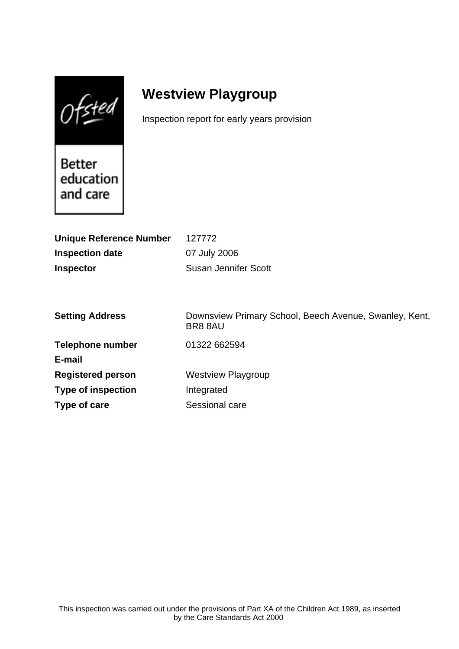$0$ fsted

# **Westview Playgroup**

Inspection report for early years provision

Better education and care

| <b>Unique Reference Number</b> | 127772                                                           |
|--------------------------------|------------------------------------------------------------------|
| <b>Inspection date</b>         | 07 July 2006                                                     |
| <b>Inspector</b>               | <b>Susan Jennifer Scott</b>                                      |
|                                |                                                                  |
|                                |                                                                  |
| <b>Setting Address</b>         | Downsview Primary School, Beech Avenue, Swanley, Kent,<br>BR88AU |
| <b>Telephone number</b>        | 01322 662594                                                     |
| E-mail                         |                                                                  |
| <b>Registered person</b>       | <b>Westview Playgroup</b>                                        |
| <b>Type of inspection</b>      | Integrated                                                       |
| Type of care                   | Sessional care                                                   |
|                                |                                                                  |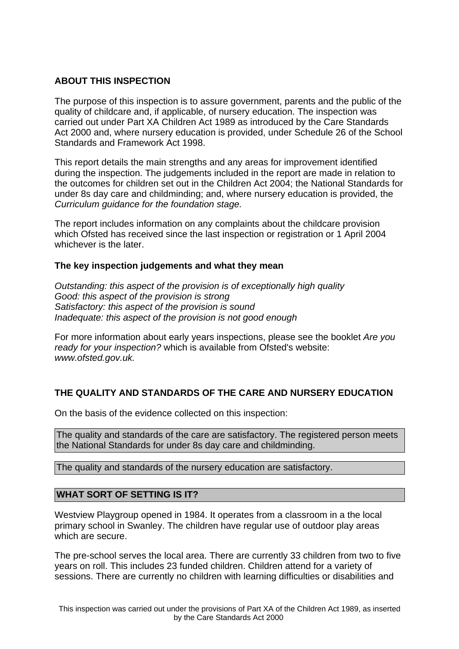## **ABOUT THIS INSPECTION**

The purpose of this inspection is to assure government, parents and the public of the quality of childcare and, if applicable, of nursery education. The inspection was carried out under Part XA Children Act 1989 as introduced by the Care Standards Act 2000 and, where nursery education is provided, under Schedule 26 of the School Standards and Framework Act 1998.

This report details the main strengths and any areas for improvement identified during the inspection. The judgements included in the report are made in relation to the outcomes for children set out in the Children Act 2004; the National Standards for under 8s day care and childminding; and, where nursery education is provided, the Curriculum guidance for the foundation stage.

The report includes information on any complaints about the childcare provision which Ofsted has received since the last inspection or registration or 1 April 2004 whichever is the later.

## **The key inspection judgements and what they mean**

Outstanding: this aspect of the provision is of exceptionally high quality Good: this aspect of the provision is strong Satisfactory: this aspect of the provision is sound Inadequate: this aspect of the provision is not good enough

For more information about early years inspections, please see the booklet Are you ready for your inspection? which is available from Ofsted's website: www.ofsted.gov.uk.

# **THE QUALITY AND STANDARDS OF THE CARE AND NURSERY EDUCATION**

On the basis of the evidence collected on this inspection:

The quality and standards of the care are satisfactory. The registered person meets the National Standards for under 8s day care and childminding.

The quality and standards of the nursery education are satisfactory.

## **WHAT SORT OF SETTING IS IT?**

Westview Playgroup opened in 1984. It operates from a classroom in a the local primary school in Swanley. The children have regular use of outdoor play areas which are secure.

The pre-school serves the local area. There are currently 33 children from two to five years on roll. This includes 23 funded children. Children attend for a variety of sessions. There are currently no children with learning difficulties or disabilities and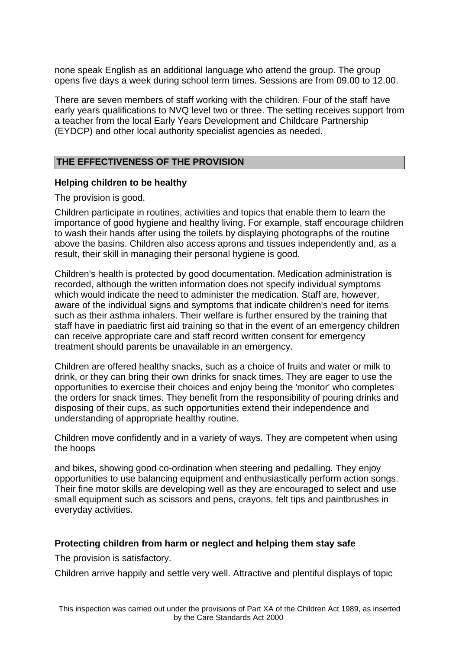none speak English as an additional language who attend the group. The group opens five days a week during school term times. Sessions are from 09.00 to 12.00.

There are seven members of staff working with the children. Four of the staff have early years qualifications to NVQ level two or three. The setting receives support from a teacher from the local Early Years Development and Childcare Partnership (EYDCP) and other local authority specialist agencies as needed.

#### **THE EFFECTIVENESS OF THE PROVISION**

#### **Helping children to be healthy**

The provision is good.

Children participate in routines, activities and topics that enable them to learn the importance of good hygiene and healthy living. For example, staff encourage children to wash their hands after using the toilets by displaying photographs of the routine above the basins. Children also access aprons and tissues independently and, as a result, their skill in managing their personal hygiene is good.

Children's health is protected by good documentation. Medication administration is recorded, although the written information does not specify individual symptoms which would indicate the need to administer the medication. Staff are, however, aware of the individual signs and symptoms that indicate children's need for items such as their asthma inhalers. Their welfare is further ensured by the training that staff have in paediatric first aid training so that in the event of an emergency children can receive appropriate care and staff record written consent for emergency treatment should parents be unavailable in an emergency.

Children are offered healthy snacks, such as a choice of fruits and water or milk to drink, or they can bring their own drinks for snack times. They are eager to use the opportunities to exercise their choices and enjoy being the 'monitor' who completes the orders for snack times. They benefit from the responsibility of pouring drinks and disposing of their cups, as such opportunities extend their independence and understanding of appropriate healthy routine.

Children move confidently and in a variety of ways. They are competent when using the hoops

and bikes, showing good co-ordination when steering and pedalling. They enjoy opportunities to use balancing equipment and enthusiastically perform action songs. Their fine motor skills are developing well as they are encouraged to select and use small equipment such as scissors and pens, crayons, felt tips and paintbrushes in everyday activities.

## **Protecting children from harm or neglect and helping them stay safe**

The provision is satisfactory.

Children arrive happily and settle very well. Attractive and plentiful displays of topic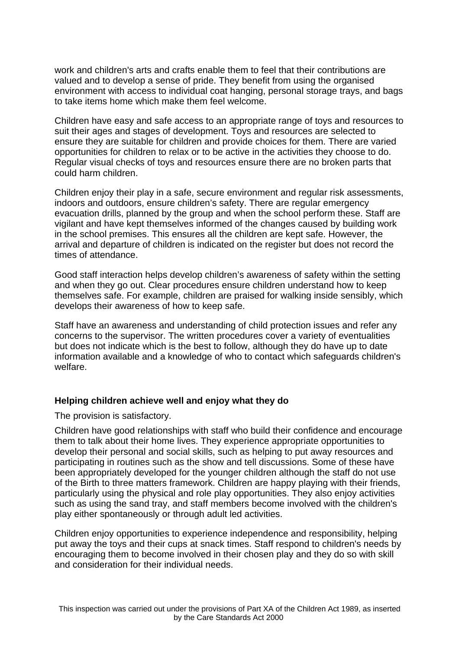work and children's arts and crafts enable them to feel that their contributions are valued and to develop a sense of pride. They benefit from using the organised environment with access to individual coat hanging, personal storage trays, and bags to take items home which make them feel welcome.

Children have easy and safe access to an appropriate range of toys and resources to suit their ages and stages of development. Toys and resources are selected to ensure they are suitable for children and provide choices for them. There are varied opportunities for children to relax or to be active in the activities they choose to do. Regular visual checks of toys and resources ensure there are no broken parts that could harm children.

Children enjoy their play in a safe, secure environment and regular risk assessments, indoors and outdoors, ensure children's safety. There are regular emergency evacuation drills, planned by the group and when the school perform these. Staff are vigilant and have kept themselves informed of the changes caused by building work in the school premises. This ensures all the children are kept safe. However, the arrival and departure of children is indicated on the register but does not record the times of attendance.

Good staff interaction helps develop children's awareness of safety within the setting and when they go out. Clear procedures ensure children understand how to keep themselves safe. For example, children are praised for walking inside sensibly, which develops their awareness of how to keep safe.

Staff have an awareness and understanding of child protection issues and refer any concerns to the supervisor. The written procedures cover a variety of eventualities but does not indicate which is the best to follow, although they do have up to date information available and a knowledge of who to contact which safeguards children's welfare.

## **Helping children achieve well and enjoy what they do**

The provision is satisfactory.

Children have good relationships with staff who build their confidence and encourage them to talk about their home lives. They experience appropriate opportunities to develop their personal and social skills, such as helping to put away resources and participating in routines such as the show and tell discussions. Some of these have been appropriately developed for the younger children although the staff do not use of the Birth to three matters framework. Children are happy playing with their friends, particularly using the physical and role play opportunities. They also enjoy activities such as using the sand tray, and staff members become involved with the children's play either spontaneously or through adult led activities.

Children enjoy opportunities to experience independence and responsibility, helping put away the toys and their cups at snack times. Staff respond to children's needs by encouraging them to become involved in their chosen play and they do so with skill and consideration for their individual needs.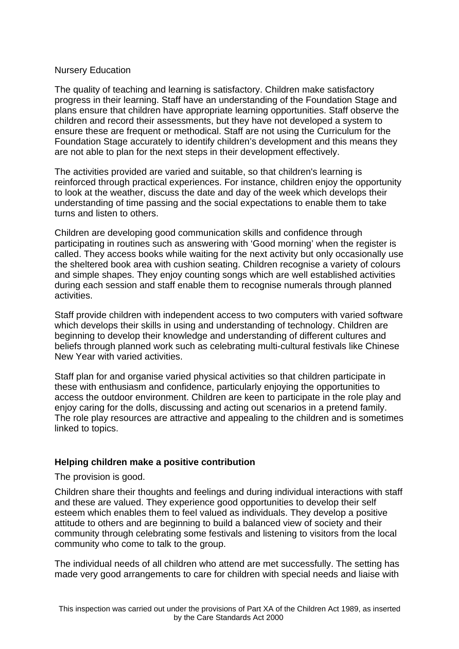## Nursery Education

The quality of teaching and learning is satisfactory. Children make satisfactory progress in their learning. Staff have an understanding of the Foundation Stage and plans ensure that children have appropriate learning opportunities. Staff observe the children and record their assessments, but they have not developed a system to ensure these are frequent or methodical. Staff are not using the Curriculum for the Foundation Stage accurately to identify children's development and this means they are not able to plan for the next steps in their development effectively.

The activities provided are varied and suitable, so that children's learning is reinforced through practical experiences. For instance, children enjoy the opportunity to look at the weather, discuss the date and day of the week which develops their understanding of time passing and the social expectations to enable them to take turns and listen to others.

Children are developing good communication skills and confidence through participating in routines such as answering with 'Good morning' when the register is called. They access books while waiting for the next activity but only occasionally use the sheltered book area with cushion seating. Children recognise a variety of colours and simple shapes. They enjoy counting songs which are well established activities during each session and staff enable them to recognise numerals through planned activities.

Staff provide children with independent access to two computers with varied software which develops their skills in using and understanding of technology. Children are beginning to develop their knowledge and understanding of different cultures and beliefs through planned work such as celebrating multi-cultural festivals like Chinese New Year with varied activities.

Staff plan for and organise varied physical activities so that children participate in these with enthusiasm and confidence, particularly enjoying the opportunities to access the outdoor environment. Children are keen to participate in the role play and enjoy caring for the dolls, discussing and acting out scenarios in a pretend family. The role play resources are attractive and appealing to the children and is sometimes linked to topics.

## **Helping children make a positive contribution**

The provision is good.

Children share their thoughts and feelings and during individual interactions with staff and these are valued. They experience good opportunities to develop their self esteem which enables them to feel valued as individuals. They develop a positive attitude to others and are beginning to build a balanced view of society and their community through celebrating some festivals and listening to visitors from the local community who come to talk to the group.

The individual needs of all children who attend are met successfully. The setting has made very good arrangements to care for children with special needs and liaise with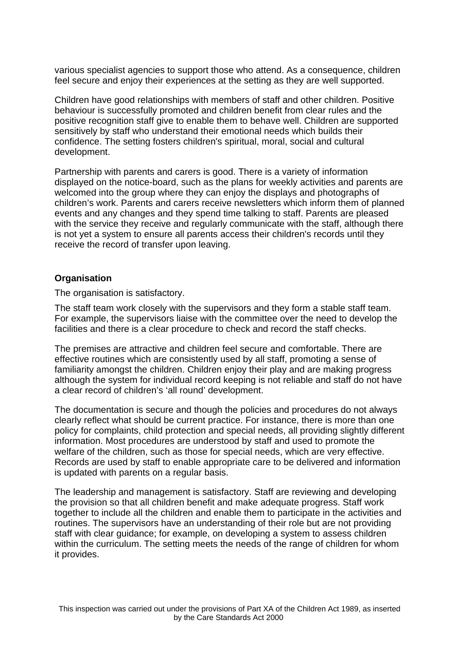various specialist agencies to support those who attend. As a consequence, children feel secure and enjoy their experiences at the setting as they are well supported.

Children have good relationships with members of staff and other children. Positive behaviour is successfully promoted and children benefit from clear rules and the positive recognition staff give to enable them to behave well. Children are supported sensitively by staff who understand their emotional needs which builds their confidence. The setting fosters children's spiritual, moral, social and cultural development.

Partnership with parents and carers is good. There is a variety of information displayed on the notice-board, such as the plans for weekly activities and parents are welcomed into the group where they can enjoy the displays and photographs of children's work. Parents and carers receive newsletters which inform them of planned events and any changes and they spend time talking to staff. Parents are pleased with the service they receive and regularly communicate with the staff, although there is not yet a system to ensure all parents access their children's records until they receive the record of transfer upon leaving.

#### **Organisation**

The organisation is satisfactory.

The staff team work closely with the supervisors and they form a stable staff team. For example, the supervisors liaise with the committee over the need to develop the facilities and there is a clear procedure to check and record the staff checks.

The premises are attractive and children feel secure and comfortable. There are effective routines which are consistently used by all staff, promoting a sense of familiarity amongst the children. Children enjoy their play and are making progress although the system for individual record keeping is not reliable and staff do not have a clear record of children's 'all round' development.

The documentation is secure and though the policies and procedures do not always clearly reflect what should be current practice. For instance, there is more than one policy for complaints, child protection and special needs, all providing slightly different information. Most procedures are understood by staff and used to promote the welfare of the children, such as those for special needs, which are very effective. Records are used by staff to enable appropriate care to be delivered and information is updated with parents on a regular basis.

The leadership and management is satisfactory. Staff are reviewing and developing the provision so that all children benefit and make adequate progress. Staff work together to include all the children and enable them to participate in the activities and routines. The supervisors have an understanding of their role but are not providing staff with clear guidance; for example, on developing a system to assess children within the curriculum. The setting meets the needs of the range of children for whom it provides.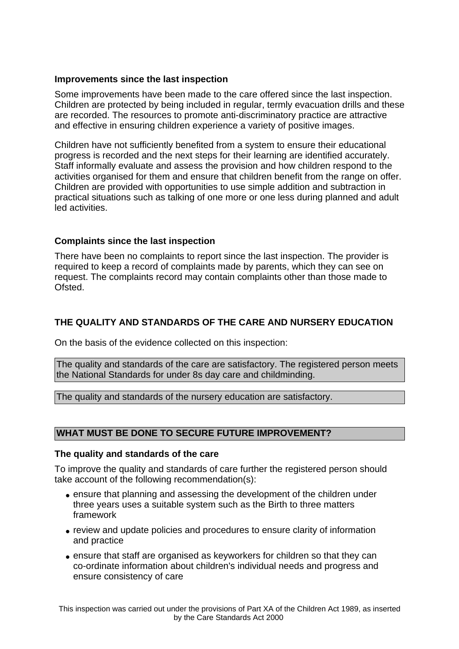## **Improvements since the last inspection**

Some improvements have been made to the care offered since the last inspection. Children are protected by being included in regular, termly evacuation drills and these are recorded. The resources to promote anti-discriminatory practice are attractive and effective in ensuring children experience a variety of positive images.

Children have not sufficiently benefited from a system to ensure their educational progress is recorded and the next steps for their learning are identified accurately. Staff informally evaluate and assess the provision and how children respond to the activities organised for them and ensure that children benefit from the range on offer. Children are provided with opportunities to use simple addition and subtraction in practical situations such as talking of one more or one less during planned and adult led activities.

## **Complaints since the last inspection**

There have been no complaints to report since the last inspection. The provider is required to keep a record of complaints made by parents, which they can see on request. The complaints record may contain complaints other than those made to Ofsted.

# **THE QUALITY AND STANDARDS OF THE CARE AND NURSERY EDUCATION**

On the basis of the evidence collected on this inspection:

The quality and standards of the care are satisfactory. The registered person meets the National Standards for under 8s day care and childminding.

The quality and standards of the nursery education are satisfactory.

# **WHAT MUST BE DONE TO SECURE FUTURE IMPROVEMENT?**

#### **The quality and standards of the care**

To improve the quality and standards of care further the registered person should take account of the following recommendation(s):

- ensure that planning and assessing the development of the children under three years uses a suitable system such as the Birth to three matters framework
- review and update policies and procedures to ensure clarity of information and practice
- ensure that staff are organised as keyworkers for children so that they can co-ordinate information about children's individual needs and progress and ensure consistency of care